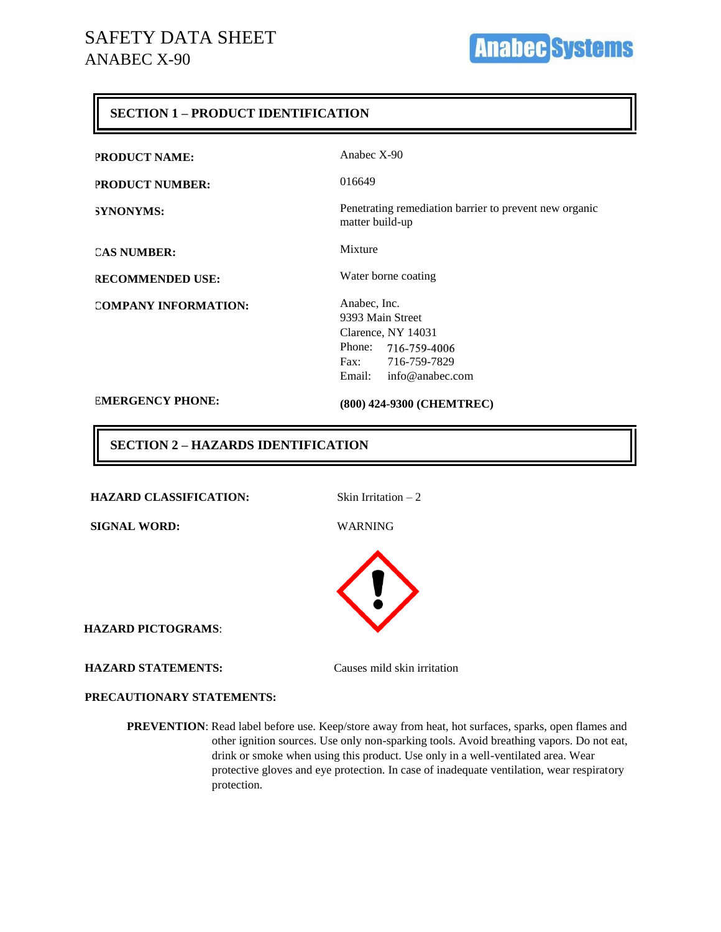## **SECTION 1 – PRODUCT IDENTIFICATION**

| <b>PRODUCT NAME:</b>        | Anabec $X-90$                                                                                                                  |
|-----------------------------|--------------------------------------------------------------------------------------------------------------------------------|
| <b>PRODUCT NUMBER:</b>      | 016649                                                                                                                         |
| <b>SYNONYMS:</b>            | Penetrating remediation barrier to prevent new organic<br>matter build-up                                                      |
| <b>CAS NUMBER:</b>          | Mixture                                                                                                                        |
| <b>RECOMMENDED USE:</b>     | Water borne coating                                                                                                            |
| <b>COMPANY INFORMATION:</b> | Anabec, Inc.<br>9393 Main Street<br>Clarence, NY 14031<br>Phone: 716-759-4006<br>Fax: 716-759-7829<br>Email: $info@anabec.com$ |
| <b>EMERGENCY PHONE:</b>     | (800) 424-9300 (CHEMTREC)                                                                                                      |

## **SECTION 2 – HAZARDS IDENTIFICATION**

HAZARD CLASSIFICATION: Skin Irritation – 2

**SIGNAL WORD:** WARNING



**HAZARD PICTOGRAMS**:

#### **HAZARD STATEMENTS:**

Causes mild skin irritation

#### **PRECAUTIONARY STATEMENTS:**

**PREVENTION**: Read label before use. Keep/store away from heat, hot surfaces, sparks, open flames and other ignition sources. Use only non-sparking tools. Avoid breathing vapors. Do not eat, drink or smoke when using this product. Use only in a well-ventilated area. Wear protective gloves and eye protection. In case of inadequate ventilation, wear respiratory protection.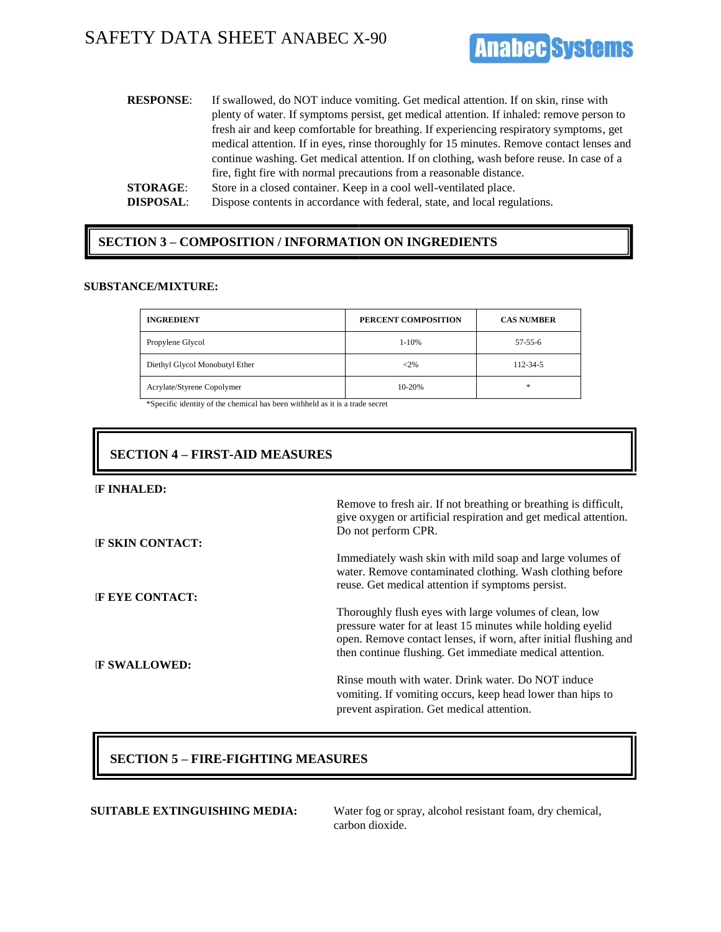# SAFETY DATA SHEET ANABEC X-90



| <b>RESPONSE:</b> | If swallowed, do NOT induce vomiting. Get medical attention. If on skin, rinse with       |
|------------------|-------------------------------------------------------------------------------------------|
|                  | plenty of water. If symptoms persist, get medical attention. If inhaled: remove person to |
|                  | fresh air and keep comfortable for breathing. If experiencing respiratory symptoms, get   |
|                  | medical attention. If in eyes, rinse thoroughly for 15 minutes. Remove contact lenses and |
|                  | continue washing. Get medical attention. If on clothing, wash before reuse. In case of a  |
|                  | fire, fight fire with normal precautions from a reasonable distance.                      |
| <b>STORAGE:</b>  | Store in a closed container. Keep in a cool well-ventilated place.                        |
| <b>DISPOSAL:</b> | Dispose contents in accordance with federal, state, and local regulations.                |

## **SECTION 3 – COMPOSITION / INFORMATION ON INGREDIENTS**

#### **SUBSTANCE/MIXTURE:**

| <b>INGREDIENT</b>              | PERCENT COMPOSITION | <b>CAS NUMBER</b> |
|--------------------------------|---------------------|-------------------|
| Propylene Glycol               | $1 - 10%$           | $57 - 55 - 6$     |
| Diethyl Glycol Monobutyl Ether | $<$ 2%              | 112-34-5          |
| Acrylate/Styrene Copolymer     | 10-20%              | *                 |

\*Specific identity of the chemical has been withheld as it is a trade secret

## **SECTION 4 – FIRST-AID MEASURES**

#### **IF INHALED:**

|                         | Remove to fresh air. If not breathing or breathing is difficult,<br>give oxygen or artificial respiration and get medical attention.                                                                                                                  |
|-------------------------|-------------------------------------------------------------------------------------------------------------------------------------------------------------------------------------------------------------------------------------------------------|
|                         | Do not perform CPR.                                                                                                                                                                                                                                   |
| <b>IF SKIN CONTACT:</b> |                                                                                                                                                                                                                                                       |
|                         | Immediately wash skin with mild soap and large volumes of<br>water. Remove contaminated clothing. Wash clothing before<br>reuse. Get medical attention if symptoms persist.                                                                           |
| IF EYE CONTACT:         |                                                                                                                                                                                                                                                       |
| <b>IF SWALLOWED:</b>    | Thoroughly flush eyes with large volumes of clean, low<br>pressure water for at least 15 minutes while holding eyelid<br>open. Remove contact lenses, if worn, after initial flushing and<br>then continue flushing. Get immediate medical attention. |
|                         | Rinse mouth with water. Drink water. Do NOT induce<br>vomiting. If vomiting occurs, keep head lower than hips to<br>prevent aspiration. Get medical attention.                                                                                        |

## **SECTION 5 – FIRE-FIGHTING MEASURES**

**SUITABLE EXTINGUISHING MEDIA:** Water fog or spray, alcohol resistant foam, dry chemical, carbon dioxide.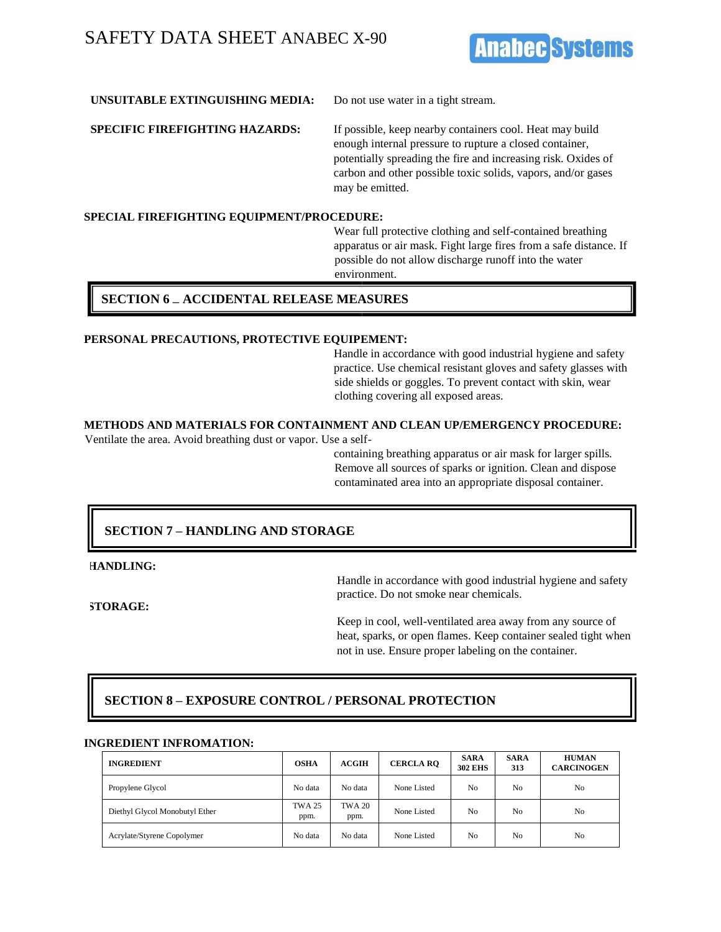# SAFETY DATA SHEET ANABEC X-90



### **UNSUITABLE EXTINGUISHING MEDIA:** Do not use water in a tight stream.

**SPECIFIC FIREFIGHTING HAZARDS:** If possible, keep nearby containers cool. Heat may build enough internal pressure to rupture a closed container, potentially spreading the fire and increasing risk. Oxides of carbon and other possible toxic solids, vapors, and/or gases may be emitted.

### **SPECIAL FIREFIGHTING EQUIPMENT/PROCEDURE:**

Wear full protective clothing and self-contained breathing apparatus or air mask. Fight large fires from a safe distance. If possible do not allow discharge runoff into the water environment.

### **SECTION 6 – ACCIDENTAL RELEASE MEASURES**

#### **PERSONAL PRECAUTIONS, PROTECTIVE EQUIPEMENT:**

Handle in accordance with good industrial hygiene and safety practice. Use chemical resistant gloves and safety glasses with side shields or goggles. To prevent contact with skin, wear clothing covering all exposed areas.

## **METHODS AND MATERIALS FOR CONTAINMENT AND CLEAN UP/EMERGENCY PROCEDURE:**

Ventilate the area. Avoid breathing dust or vapor. Use a self-

containing breathing apparatus or air mask for larger spills. Remove all sources of sparks or ignition. Clean and dispose contaminated area into an appropriate disposal container.

## **SECTION 7 – HANDLING AND STORAGE**

**HANDLING:** 

**STORAGE:** 

Handle in accordance with good industrial hygiene and safety practice. Do not smoke near chemicals.

Keep in cool, well-ventilated area away from any source of heat, sparks, or open flames. Keep container sealed tight when not in use. Ensure proper labeling on the container.

## **SECTION 8 – EXPOSURE CONTROL / PERSONAL PROTECTION**

#### **INGREDIENT INFROMATION:**

| <b>INGREDIENT</b>              | <b>OSHA</b>           | ACGIH                 | <b>CERCLA RO</b> | <b>SARA</b><br><b>302 EHS</b> | <b>SARA</b><br>313 | <b>HUMAN</b><br><b>CARCINOGEN</b> |
|--------------------------------|-----------------------|-----------------------|------------------|-------------------------------|--------------------|-----------------------------------|
| Propylene Glycol               | No data               | No data               | None Listed      | N <sub>0</sub>                | No                 | No                                |
| Diethyl Glycol Monobutyl Ether | <b>TWA 25</b><br>ppm. | <b>TWA 20</b><br>ppm. | None Listed      | No                            | No                 | No                                |
| Acrylate/Styrene Copolymer     | No data               | No data               | None Listed      | N <sub>0</sub>                | No                 | No                                |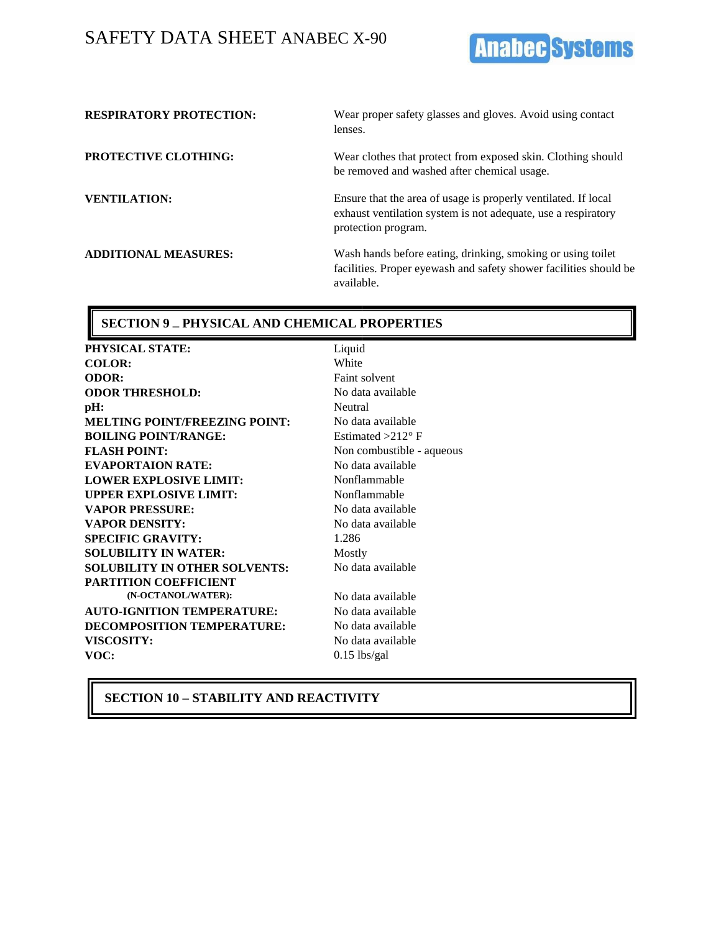# SAFETY DATA SHEET ANABEC X-90



| <b>RESPIRATORY PROTECTION:</b> | Wear proper safety glasses and gloves. Avoid using contact<br>lenses.                                                                                  |
|--------------------------------|--------------------------------------------------------------------------------------------------------------------------------------------------------|
| <b>PROTECTIVE CLOTHING:</b>    | Wear clothes that protect from exposed skin. Clothing should<br>be removed and washed after chemical usage.                                            |
| <b>VENTILATION:</b>            | Ensure that the area of usage is properly ventilated. If local<br>exhaust ventilation system is not adequate, use a respiratory<br>protection program. |
| <b>ADDITIONAL MEASURES:</b>    | Wash hands before eating, drinking, smoking or using toilet<br>facilities. Proper eyewash and safety shower facilities should be<br>available.         |

#### **SECTION 9 – PHYSICAL AND CHEMICAL PROPERTIES**

**PHYSICAL STATE:** Liquid **COLOR:** White **ODOR:** Faint solvent **ODOR THRESHOLD:** No data available **pH:** Neutral **MELTING POINT/FREEZING POINT:** No data available **BOILING POINT/RANGE:** Estimated >212° F **FLASH POINT:** Non combustible - aqueous **EVAPORTAION RATE:** No data available **LOWER EXPLOSIVE LIMIT:** Nonflammable **UPPER EXPLOSIVE LIMIT:** Nonflammable **VAPOR PRESSURE:** No data available **VAPOR DENSITY:** No data available **SPECIFIC GRAVITY:** 1.286 **SOLUBILITY IN WATER:** Mostly **SOLUBILITY IN OTHER SOLVENTS: PARTITION COEFFICIENT (N-OCTANOL/WATER):** No data available **AUTO-IGNITION TEMPERATURE:** No data available **DECOMPOSITION TEMPERATURE:** No data available VISCOSITY: No data available **VOC:** 0.15 lbs/gal

No data available

**SECTION 10 – STABILITY AND REACTIVITY**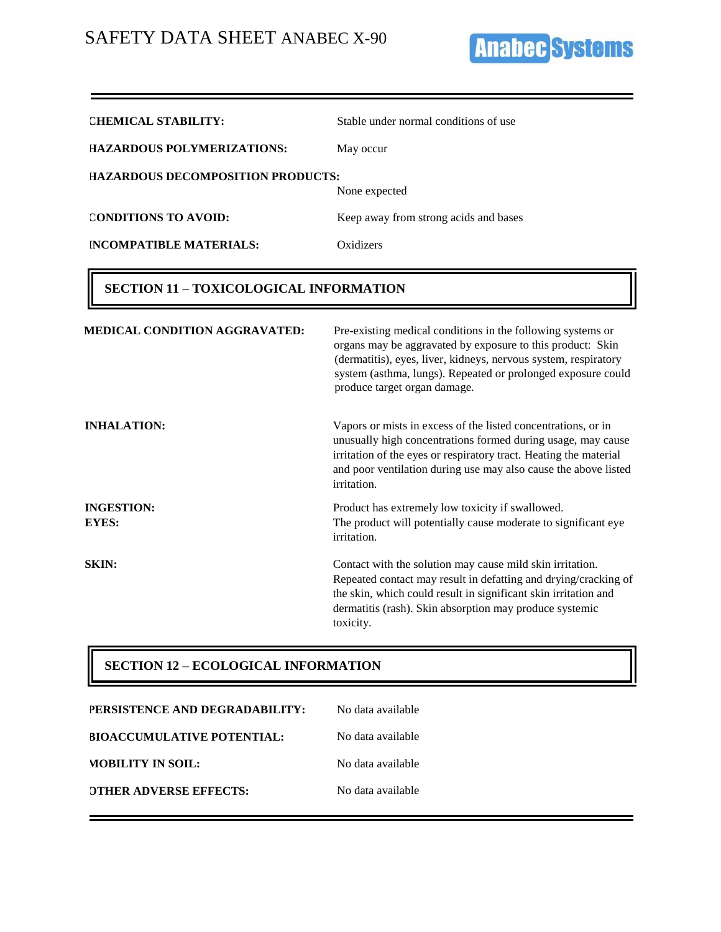**Anabec Systems** 

| <b>CHEMICAL STABILITY:</b>               | Stable under normal conditions of use |
|------------------------------------------|---------------------------------------|
| HAZARDOUS POLYMERIZATIONS:               | May occur                             |
| <b>HAZARDOUS DECOMPOSITION PRODUCTS:</b> | None expected                         |
| <b>CONDITIONS TO AVOID:</b>              | Keep away from strong acids and bases |
| <b>INCOMPATIBLE MATERIALS:</b>           | Oxidizers                             |

## **SECTION 11 – TOXICOLOGICAL INFORMATION**

| <b>MEDICAL CONDITION AGGRAVATED:</b> | Pre-existing medical conditions in the following systems or<br>organs may be aggravated by exposure to this product: Skin<br>(dermatitis), eyes, liver, kidneys, nervous system, respiratory<br>system (asthma, lungs). Repeated or prolonged exposure could<br>produce target organ damage. |
|--------------------------------------|----------------------------------------------------------------------------------------------------------------------------------------------------------------------------------------------------------------------------------------------------------------------------------------------|
| <b>INHALATION:</b>                   | Vapors or mists in excess of the listed concentrations, or in<br>unusually high concentrations formed during usage, may cause<br>irritation of the eyes or respiratory tract. Heating the material<br>and poor ventilation during use may also cause the above listed<br>irritation.         |
| <b>INGESTION:</b><br><b>EYES:</b>    | Product has extremely low toxicity if swallowed.<br>The product will potentially cause moderate to significant eye<br>irritation.                                                                                                                                                            |
| SKIN:                                | Contact with the solution may cause mild skin irritation.<br>Repeated contact may result in defatting and drying/cracking of<br>the skin, which could result in significant skin irritation and<br>dermatitis (rash). Skin absorption may produce systemic<br>toxicity.                      |

## **SECTION 12 – ECOLOGICAL INFORMATION**

| PERSISTENCE AND DEGRADABILITY:    | No data available |
|-----------------------------------|-------------------|
| <b>BIOACCUMULATIVE POTENTIAL:</b> | No data available |
| <b>MOBILITY IN SOIL:</b>          | No data available |
| <b>OTHER ADVERSE EFFECTS:</b>     | No data available |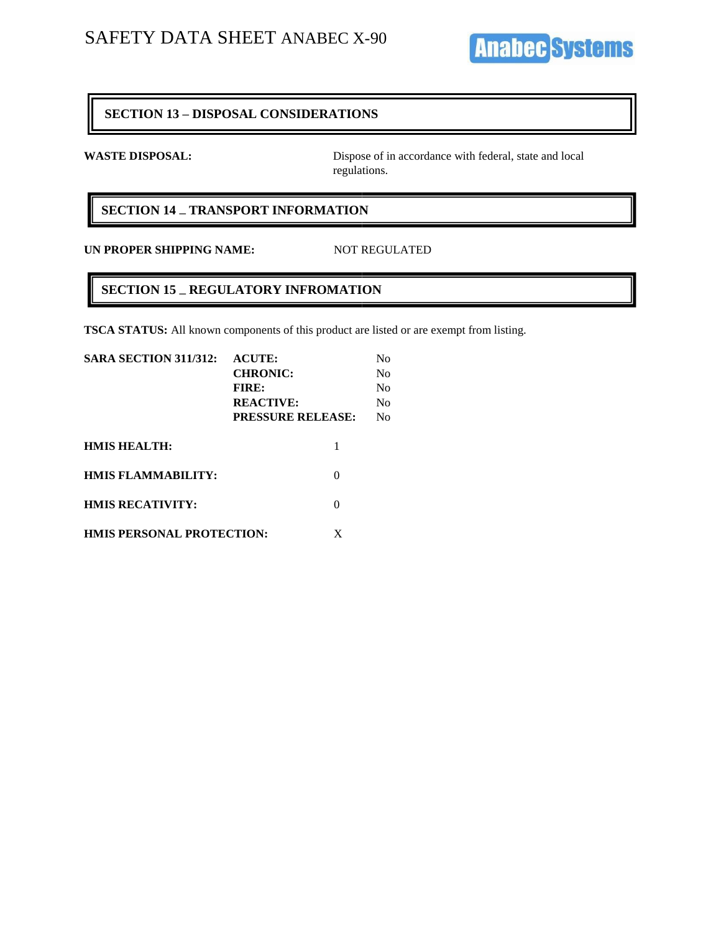**Anabec Systems** 

### **SECTION 13 – DISPOSAL CONSIDERATIONS**

WASTE DISPOSAL: Dispose of in accordance with federal, state and local regulations.

## **SECTION 14 – TRANSPORT INFORMATION**

**UN PROPER SHIPPING NAME:** NOT REGULATED

## **SECTION 15 – REGULATORY INFROMATION**

**TSCA STATUS:** All known components of this product are listed or are exempt from listing.

| <b>SARA SECTION 311/312:</b>     | <b>ACUTE:</b>            | No             |
|----------------------------------|--------------------------|----------------|
|                                  | <b>CHRONIC:</b>          | No             |
|                                  | <b>FIRE:</b>             | N <sub>0</sub> |
|                                  | <b>REACTIVE:</b>         | No             |
|                                  | <b>PRESSURE RELEASE:</b> | No             |
| <b>HMIS HEALTH:</b>              |                          |                |
| <b>HMIS FLAMMABILITY:</b>        |                          |                |
| <b>HMIS RECATIVITY:</b>          |                          |                |
| <b>HMIS PERSONAL PROTECTION:</b> | X                        |                |